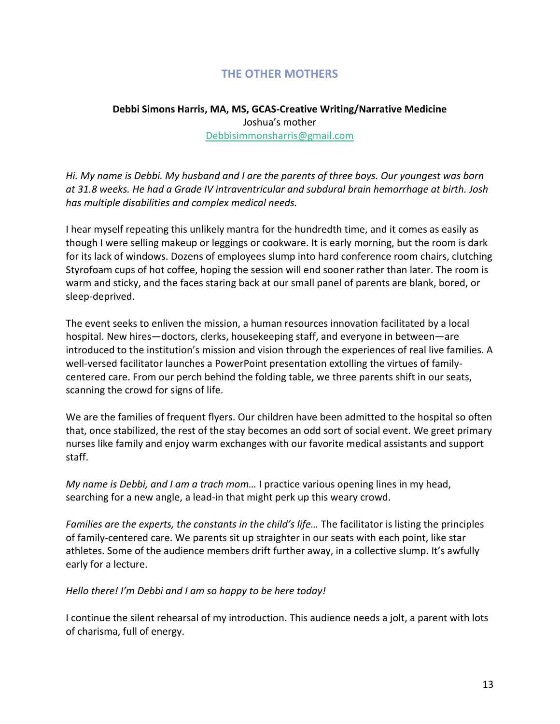# **THE OTHER MOTHERS**

## **Debbi Simons Harris, MA, MS, GCAS-Creative Writing/Narrative Medicine**  Joshua's mother [Debbisimmonsharris@gmail.com](mailto:Debbisimmonsharris@gmail.com)

*Hi. My name is Debbi. My husband and I are the parents of three boys. Our youngest was born at 31.8 weeks. He had a Grade IV intraventricular and subdural brain hemorrhage at birth. Josh has multiple disabilities and complex medical needs.*

I hear myself repeating this unlikely mantra for the hundredth time, and it comes as easily as though I were selling makeup or leggings or cookware. It is early morning, but the room is dark for its lack of windows. Dozens of employees slump into hard conference room chairs, clutching Styrofoam cups of hot coffee, hoping the session will end sooner rather than later. The room is warm and sticky, and the faces staring back at our small panel of parents are blank, bored, or sleep-deprived.

The event seeks to enliven the mission, a human resources innovation facilitated by a local hospital. New hires―doctors, clerks, housekeeping staff, and everyone in between―are introduced to the institution's mission and vision through the experiences of real live families. A well-versed facilitator launches a PowerPoint presentation extolling the virtues of familycentered care. From our perch behind the folding table, we three parents shift in our seats, scanning the crowd for signs of life.

We are the families of frequent flyers. Our children have been admitted to the hospital so often that, once stabilized, the rest of the stay becomes an odd sort of social event. We greet primary nurses like family and enjoy warm exchanges with our favorite medical assistants and support staff.

*My name is Debbi, and I am a trach mom…* I practice various opening lines in my head, searching for a new angle, a lead-in that might perk up this weary crowd.

*Families are the experts, the constants in the child's life…* The facilitator is listing the principles of family-centered care. We parents sit up straighter in our seats with each point, like star athletes. Some of the audience members drift further away, in a collective slump. It's awfully early for a lecture.

*Hello there! I'm Debbi and I am so happy to be here today!* 

I continue the silent rehearsal of my introduction. This audience needs a jolt, a parent with lots of charisma, full of energy.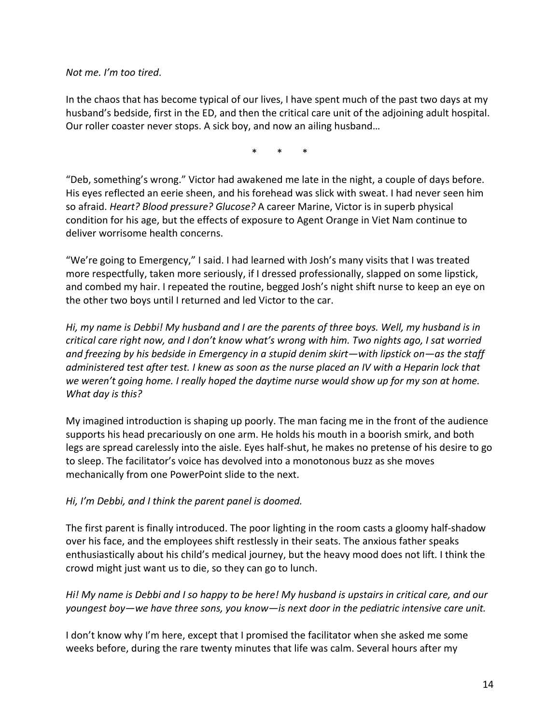*Not me. I'm too tired*.

In the chaos that has become typical of our lives, I have spent much of the past two days at my husband's bedside, first in the ED, and then the critical care unit of the adjoining adult hospital. Our roller coaster never stops. A sick boy, and now an ailing husband…

\* \* \*

"Deb, something's wrong." Victor had awakened me late in the night, a couple of days before. His eyes reflected an eerie sheen, and his forehead was slick with sweat. I had never seen him so afraid. *Heart? Blood pressure? Glucose?* A career Marine, Victor is in superb physical condition for his age, but the effects of exposure to Agent Orange in Viet Nam continue to deliver worrisome health concerns.

"We're going to Emergency," I said. I had learned with Josh's many visits that I was treated more respectfully, taken more seriously, if I dressed professionally, slapped on some lipstick, and combed my hair. I repeated the routine, begged Josh's night shift nurse to keep an eye on the other two boys until I returned and led Victor to the car.

*Hi, my name is Debbi! My husband and I are the parents of three boys. Well, my husband is in critical care right now, and I don't know what's wrong with him. Two nights ago, I sat worried and freezing by his bedside in Emergency in a stupid denim skirt―with lipstick on―as the staff administered test after test. I knew as soon as the nurse placed an IV with a Heparin lock that we weren't going home. I really hoped the daytime nurse would show up for my son at home. What day is this?*

My imagined introduction is shaping up poorly. The man facing me in the front of the audience supports his head precariously on one arm. He holds his mouth in a boorish smirk, and both legs are spread carelessly into the aisle. Eyes half-shut, he makes no pretense of his desire to go to sleep. The facilitator's voice has devolved into a monotonous buzz as she moves mechanically from one PowerPoint slide to the next.

#### *Hi, I'm Debbi, and I think the parent panel is doomed.*

The first parent is finally introduced. The poor lighting in the room casts a gloomy half-shadow over his face, and the employees shift restlessly in their seats. The anxious father speaks enthusiastically about his child's medical journey, but the heavy mood does not lift. I think the crowd might just want us to die, so they can go to lunch.

## *Hi! My name is Debbi and I so happy to be here! My husband is upstairs in critical care, and our youngest boy―we have three sons, you know―is next door in the pediatric intensive care unit.*

I don't know why I'm here, except that I promised the facilitator when she asked me some weeks before, during the rare twenty minutes that life was calm. Several hours after my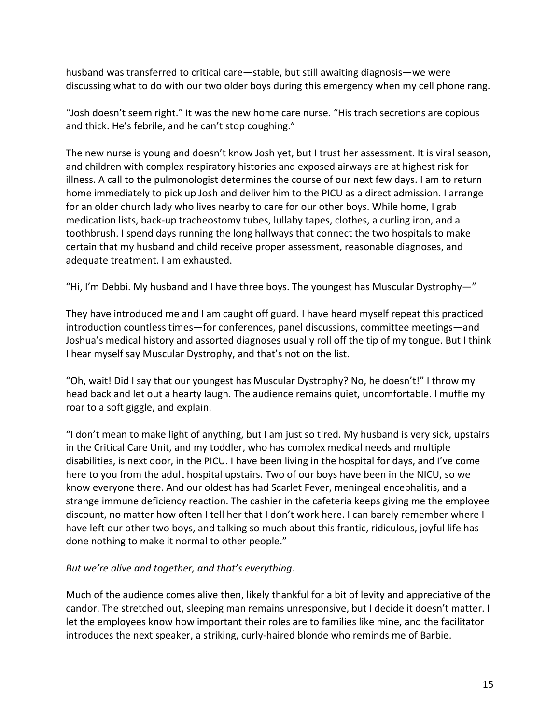husband was transferred to critical care―stable, but still awaiting diagnosis―we were discussing what to do with our two older boys during this emergency when my cell phone rang.

"Josh doesn't seem right." It was the new home care nurse. "His trach secretions are copious and thick. He's febrile, and he can't stop coughing."

The new nurse is young and doesn't know Josh yet, but I trust her assessment. It is viral season, and children with complex respiratory histories and exposed airways are at highest risk for illness. A call to the pulmonologist determines the course of our next few days. I am to return home immediately to pick up Josh and deliver him to the PICU as a direct admission. I arrange for an older church lady who lives nearby to care for our other boys. While home, I grab medication lists, back-up tracheostomy tubes, lullaby tapes, clothes, a curling iron, and a toothbrush. I spend days running the long hallways that connect the two hospitals to make certain that my husband and child receive proper assessment, reasonable diagnoses, and adequate treatment. I am exhausted.

"Hi, I'm Debbi. My husband and I have three boys. The youngest has Muscular Dystrophy-"

They have introduced me and I am caught off guard. I have heard myself repeat this practiced introduction countless times―for conferences, panel discussions, committee meetings―and Joshua's medical history and assorted diagnoses usually roll off the tip of my tongue. But I think I hear myself say Muscular Dystrophy, and that's not on the list.

"Oh, wait! Did I say that our youngest has Muscular Dystrophy? No, he doesn't!" I throw my head back and let out a hearty laugh. The audience remains quiet, uncomfortable. I muffle my roar to a soft giggle, and explain.

"I don't mean to make light of anything, but I am just so tired. My husband is very sick, upstairs in the Critical Care Unit, and my toddler, who has complex medical needs and multiple disabilities, is next door, in the PICU. I have been living in the hospital for days, and I've come here to you from the adult hospital upstairs. Two of our boys have been in the NICU, so we know everyone there. And our oldest has had Scarlet Fever, meningeal encephalitis, and a strange immune deficiency reaction. The cashier in the cafeteria keeps giving me the employee discount, no matter how often I tell her that I don't work here. I can barely remember where I have left our other two boys, and talking so much about this frantic, ridiculous, joyful life has done nothing to make it normal to other people."

## *But we're alive and together, and that's everything.*

Much of the audience comes alive then, likely thankful for a bit of levity and appreciative of the candor. The stretched out, sleeping man remains unresponsive, but I decide it doesn't matter. I let the employees know how important their roles are to families like mine, and the facilitator introduces the next speaker, a striking, curly-haired blonde who reminds me of Barbie.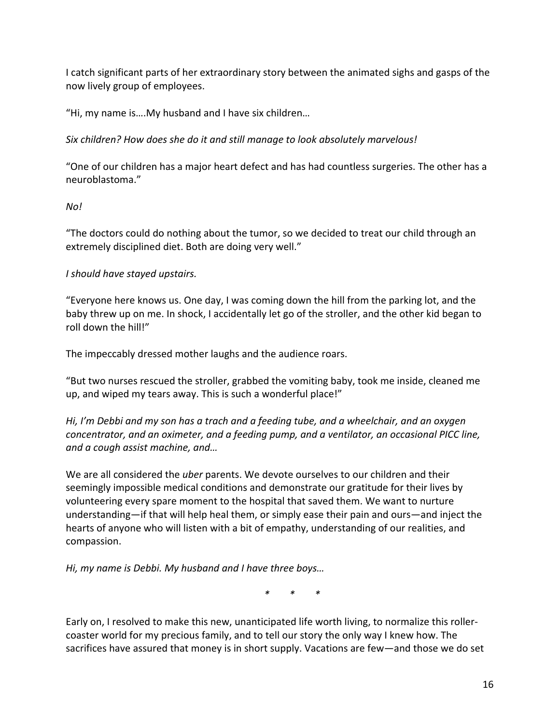I catch significant parts of her extraordinary story between the animated sighs and gasps of the now lively group of employees.

"Hi, my name is….My husband and I have six children…

*Six children? How does she do it and still manage to look absolutely marvelous!*

"One of our children has a major heart defect and has had countless surgeries. The other has a neuroblastoma."

## *No!*

"The doctors could do nothing about the tumor, so we decided to treat our child through an extremely disciplined diet. Both are doing very well."

## *I should have stayed upstairs.*

"Everyone here knows us. One day, I was coming down the hill from the parking lot, and the baby threw up on me. In shock, I accidentally let go of the stroller, and the other kid began to roll down the hill!"

The impeccably dressed mother laughs and the audience roars.

"But two nurses rescued the stroller, grabbed the vomiting baby, took me inside, cleaned me up, and wiped my tears away. This is such a wonderful place!"

*Hi, I'm Debbi and my son has a trach and a feeding tube, and a wheelchair, and an oxygen concentrator, and an oximeter, and a feeding pump, and a ventilator, an occasional PICC line, and a cough assist machine, and…*

We are all considered the *uber* parents. We devote ourselves to our children and their seemingly impossible medical conditions and demonstrate our gratitude for their lives by volunteering every spare moment to the hospital that saved them. We want to nurture understanding―if that will help heal them, or simply ease their pain and ours―and inject the hearts of anyone who will listen with a bit of empathy, understanding of our realities, and compassion.

*Hi, my name is Debbi. My husband and I have three boys…*

 *\* \* \**

Early on, I resolved to make this new, unanticipated life worth living, to normalize this rollercoaster world for my precious family, and to tell our story the only way I knew how. The sacrifices have assured that money is in short supply. Vacations are few—and those we do set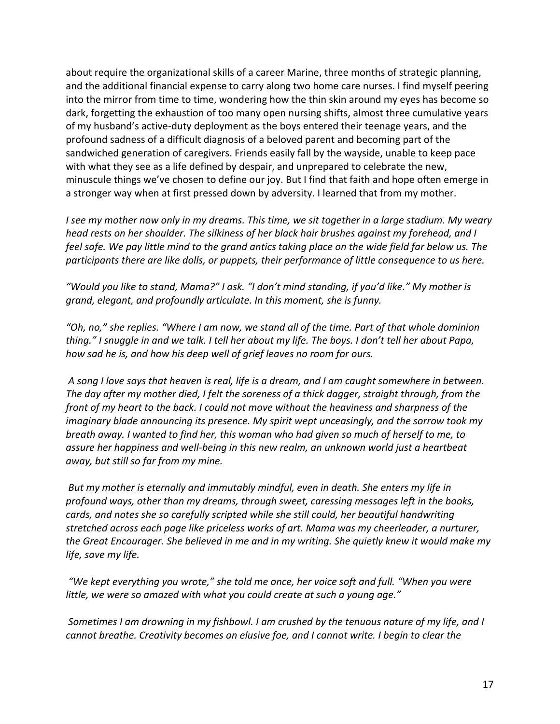about require the organizational skills of a career Marine, three months of strategic planning, and the additional financial expense to carry along two home care nurses. I find myself peering into the mirror from time to time, wondering how the thin skin around my eyes has become so dark, forgetting the exhaustion of too many open nursing shifts, almost three cumulative years of my husband's active-duty deployment as the boys entered their teenage years, and the profound sadness of a difficult diagnosis of a beloved parent and becoming part of the sandwiched generation of caregivers. Friends easily fall by the wayside, unable to keep pace with what they see as a life defined by despair, and unprepared to celebrate the new, minuscule things we've chosen to define our joy. But I find that faith and hope often emerge in a stronger way when at first pressed down by adversity. I learned that from my mother.

*I see my mother now only in my dreams. This time, we sit together in a large stadium. My weary head rests on her shoulder. The silkiness of her black hair brushes against my forehead, and I*  feel safe. We pay little mind to the grand antics taking place on the wide field far below us. The *participants there are like dolls, or puppets, their performance of little consequence to us here.* 

*"Would you like to stand, Mama?" I ask. "I don't mind standing, if you'd like." My mother is grand, elegant, and profoundly articulate. In this moment, she is funny.* 

*"Oh, no," she replies. "Where I am now, we stand all of the time. Part of that whole dominion thing." I snuggle in and we talk. I tell her about my life. The boys. I don't tell her about Papa, how sad he is, and how his deep well of grief leaves no room for ours.* 

*A song I love says that heaven is real, life is a dream, and I am caught somewhere in between. The day after my mother died, I felt the soreness of a thick dagger, straight through, from the front of my heart to the back. I could not move without the heaviness and sharpness of the imaginary blade announcing its presence. My spirit wept unceasingly, and the sorrow took my breath away. I wanted to find her, this woman who had given so much of herself to me, to assure her happiness and well-being in this new realm, an unknown world just a heartbeat away, but still so far from my mine.*

*But my mother is eternally and immutably mindful, even in death. She enters my life in profound ways, other than my dreams, through sweet, caressing messages left in the books, cards, and notes she so carefully scripted while she still could, her beautiful handwriting stretched across each page like priceless works of art. Mama was my cheerleader, a nurturer, the Great Encourager. She believed in me and in my writing. She quietly knew it would make my life, save my life.*

*"We kept everything you wrote," she told me once, her voice soft and full. "When you were little, we were so amazed with what you could create at such a young age."*

*Sometimes I am drowning in my fishbowl. I am crushed by the tenuous nature of my life, and I cannot breathe. Creativity becomes an elusive foe, and I cannot write. I begin to clear the*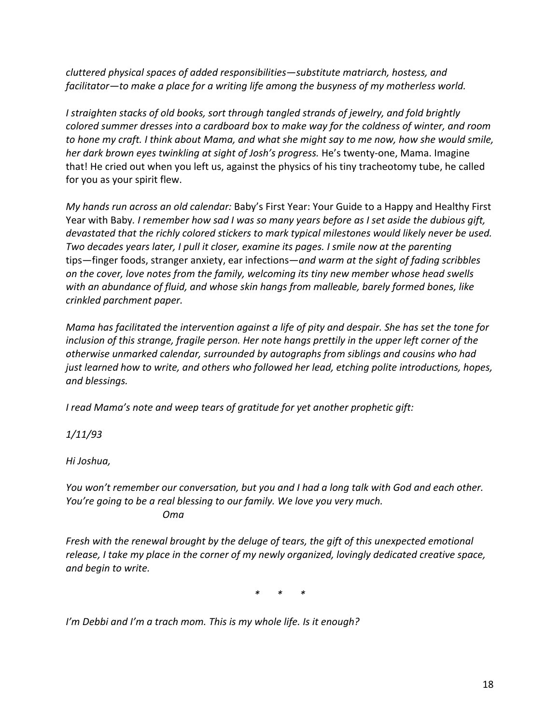*cluttered physical spaces of added responsibilities―substitute matriarch, hostess, and facilitator―to make a place for a writing life among the busyness of my motherless world.* 

*I straighten stacks of old books, sort through tangled strands of jewelry, and fold brightly colored summer dresses into a cardboard box to make way for the coldness of winter, and room to hone my craft. I think about Mama, and what she might say to me now, how she would smile, her dark brown eyes twinkling at sight of Josh's progress.* He's twenty-one, Mama. Imagine that! He cried out when you left us, against the physics of his tiny tracheotomy tube, he called for you as your spirit flew.

*My hands run across an old calendar:* Baby's First Year: Your Guide to a Happy and Healthy First Year with Baby*. I remember how sad I was so many years before as I set aside the dubious gift, devastated that the richly colored stickers to mark typical milestones would likely never be used. Two decades years later, I pull it closer, examine its pages. I smile now at the parenting*  tips―finger foods, stranger anxiety, ear infections―*and warm at the sight of fading scribbles on the cover, love notes from the family, welcoming its tiny new member whose head swells with an abundance of fluid, and whose skin hangs from malleable, barely formed bones, like crinkled parchment paper.*

*Mama has facilitated the intervention against a life of pity and despair. She has set the tone for inclusion of this strange, fragile person. Her note hangs prettily in the upper left corner of the otherwise unmarked calendar, surrounded by autographs from siblings and cousins who had just learned how to write, and others who followed her lead, etching polite introductions, hopes, and blessings.* 

*I read Mama's note and weep tears of gratitude for yet another prophetic gift:*

*1/11/93*

*Hi Joshua,*

*You won't remember our conversation, but you and I had a long talk with God and each other. You're going to be a real blessing to our family. We love you very much. Oma*

*Fresh with the renewal brought by the deluge of tears, the gift of this unexpected emotional release, I take my place in the corner of my newly organized, lovingly dedicated creative space, and begin to write.*

*\* \* \**

*I'm Debbi and I'm a trach mom. This is my whole life. Is it enough?*